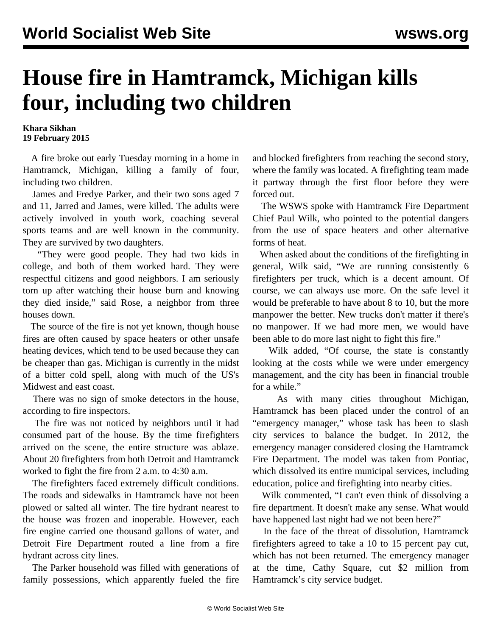## **House fire in Hamtramck, Michigan kills four, including two children**

## **Khara Sikhan 19 February 2015**

 A fire broke out early Tuesday morning in a home in Hamtramck, Michigan, killing a family of four, including two children.

 James and Fredye Parker, and their two sons aged 7 and 11, Jarred and James, were killed. The adults were actively involved in youth work, coaching several sports teams and are well known in the community. They are survived by two daughters.

 "They were good people. They had two kids in college, and both of them worked hard. They were respectful citizens and good neighbors. I am seriously torn up after watching their house burn and knowing they died inside," said Rose, a neighbor from three houses down.

 The source of the fire is not yet known, though house fires are often caused by space heaters or other unsafe heating devices, which tend to be used because they can be cheaper than gas. Michigan is currently in the midst of a bitter cold spell, along with much of the US's Midwest and east coast.

 There was no sign of smoke detectors in the house, according to fire inspectors.

 The fire was not noticed by neighbors until it had consumed part of the house. By the time firefighters arrived on the scene, the entire structure was ablaze. About 20 firefighters from both Detroit and Hamtramck worked to fight the fire from 2 a.m. to 4:30 a.m.

 The firefighters faced extremely difficult conditions. The roads and sidewalks in Hamtramck have not been plowed or salted all winter. The fire hydrant nearest to the house was frozen and inoperable. However, each fire engine carried one thousand gallons of water, and Detroit Fire Department routed a line from a fire hydrant across city lines.

 The Parker household was filled with generations of family possessions, which apparently fueled the fire and blocked firefighters from reaching the second story, where the family was located. A firefighting team made it partway through the first floor before they were forced out.

 The WSWS spoke with Hamtramck Fire Department Chief Paul Wilk, who pointed to the potential dangers from the use of space heaters and other alternative forms of heat.

 When asked about the conditions of the firefighting in general, Wilk said, "We are running consistently 6 firefighters per truck, which is a decent amount. Of course, we can always use more. On the safe level it would be preferable to have about 8 to 10, but the more manpower the better. New trucks don't matter if there's no manpower. If we had more men, we would have been able to do more last night to fight this fire."

 Wilk added, "Of course, the state is constantly looking at the costs while we were under emergency management, and the city has been in financial trouble for a while."

 As with many cities throughout Michigan, Hamtramck has been placed under the control of an "emergency manager," whose task has been to slash city services to balance the budget. In 2012, the emergency manager considered closing the Hamtramck Fire Department. The model was taken from Pontiac, which dissolved its entire municipal services, including education, police and firefighting into nearby cities.

 Wilk commented, "I can't even think of dissolving a fire department. It doesn't make any sense. What would have happened last night had we not been here?"

 In the face of the threat of dissolution, Hamtramck firefighters agreed to take a 10 to 15 percent pay cut, which has not been returned. The emergency manager at the time, Cathy Square, cut \$2 million from Hamtramck's city service budget.